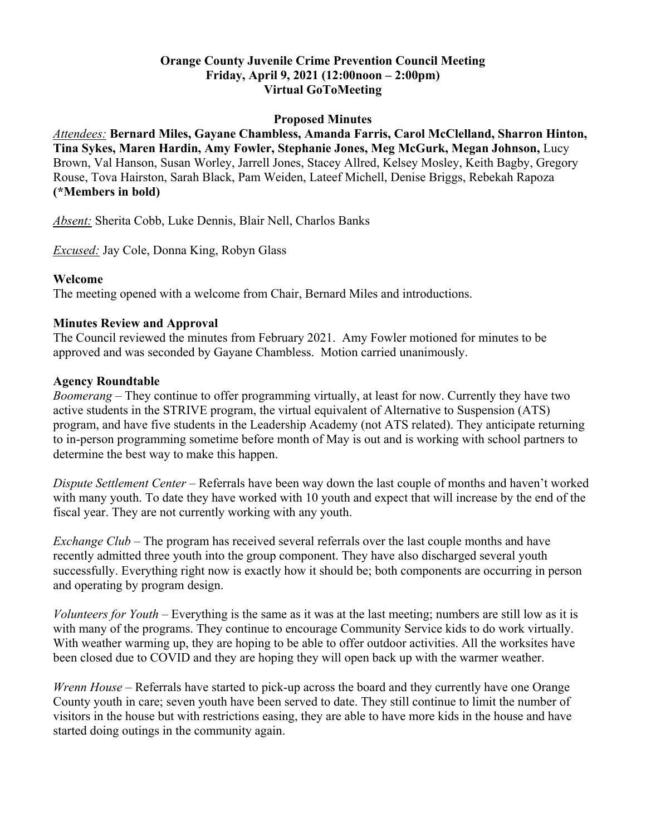### **Orange County Juvenile Crime Prevention Council Meeting Friday, April 9, 2021 (12:00noon – 2:00pm) Virtual GoToMeeting**

#### **Proposed Minutes**

*Attendees:* **Bernard Miles, Gayane Chambless, Amanda Farris, Carol McClelland, Sharron Hinton, Tina Sykes, Maren Hardin, Amy Fowler, Stephanie Jones, Meg McGurk, Megan Johnson,** Lucy Brown, Val Hanson, Susan Worley, Jarrell Jones, Stacey Allred, Kelsey Mosley, Keith Bagby, Gregory Rouse, Tova Hairston, Sarah Black, Pam Weiden, Lateef Michell, Denise Briggs, Rebekah Rapoza **(\*Members in bold)**

*Absent:* Sherita Cobb, Luke Dennis, Blair Nell, Charlos Banks

*Excused:* Jay Cole, Donna King, Robyn Glass

#### **Welcome**

The meeting opened with a welcome from Chair, Bernard Miles and introductions.

#### **Minutes Review and Approval**

The Council reviewed the minutes from February 2021. Amy Fowler motioned for minutes to be approved and was seconded by Gayane Chambless. Motion carried unanimously.

#### **Agency Roundtable**

*Boomerang* – They continue to offer programming virtually, at least for now. Currently they have two active students in the STRIVE program, the virtual equivalent of Alternative to Suspension (ATS) program, and have five students in the Leadership Academy (not ATS related). They anticipate returning to in-person programming sometime before month of May is out and is working with school partners to determine the best way to make this happen.

*Dispute Settlement Center* – Referrals have been way down the last couple of months and haven't worked with many youth. To date they have worked with 10 youth and expect that will increase by the end of the fiscal year. They are not currently working with any youth.

*Exchange Club* – The program has received several referrals over the last couple months and have recently admitted three youth into the group component. They have also discharged several youth successfully. Everything right now is exactly how it should be; both components are occurring in person and operating by program design.

*Volunteers for Youth* – Everything is the same as it was at the last meeting; numbers are still low as it is with many of the programs. They continue to encourage Community Service kids to do work virtually. With weather warming up, they are hoping to be able to offer outdoor activities. All the worksites have been closed due to COVID and they are hoping they will open back up with the warmer weather.

*Wrenn House* – Referrals have started to pick-up across the board and they currently have one Orange County youth in care; seven youth have been served to date. They still continue to limit the number of visitors in the house but with restrictions easing, they are able to have more kids in the house and have started doing outings in the community again.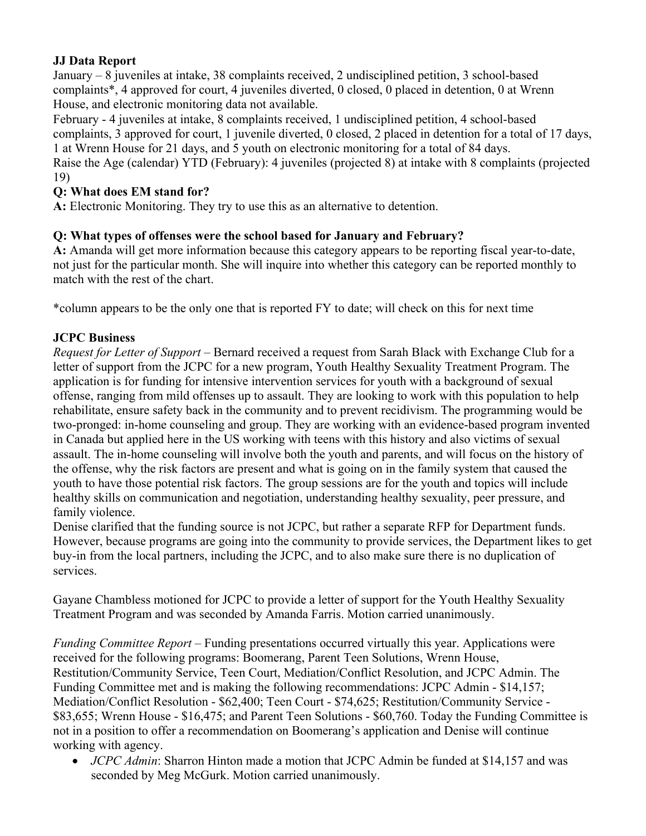## **JJ Data Report**

January – 8 juveniles at intake, 38 complaints received, 2 undisciplined petition, 3 school-based complaints\*, 4 approved for court, 4 juveniles diverted, 0 closed, 0 placed in detention, 0 at Wrenn House, and electronic monitoring data not available.

February - 4 juveniles at intake, 8 complaints received, 1 undisciplined petition, 4 school-based complaints, 3 approved for court, 1 juvenile diverted, 0 closed, 2 placed in detention for a total of 17 days, 1 at Wrenn House for 21 days, and 5 youth on electronic monitoring for a total of 84 days.

Raise the Age (calendar) YTD (February): 4 juveniles (projected 8) at intake with 8 complaints (projected 19)

## **Q: What does EM stand for?**

**A:** Electronic Monitoring. They try to use this as an alternative to detention.

## **Q: What types of offenses were the school based for January and February?**

**A:** Amanda will get more information because this category appears to be reporting fiscal year-to-date, not just for the particular month. She will inquire into whether this category can be reported monthly to match with the rest of the chart.

\*column appears to be the only one that is reported FY to date; will check on this for next time

## **JCPC Business**

*Request for Letter of Support –* Bernard received a request from Sarah Black with Exchange Club for a letter of support from the JCPC for a new program, Youth Healthy Sexuality Treatment Program. The application is for funding for intensive intervention services for youth with a background of sexual offense, ranging from mild offenses up to assault. They are looking to work with this population to help rehabilitate, ensure safety back in the community and to prevent recidivism. The programming would be two-pronged: in-home counseling and group. They are working with an evidence-based program invented in Canada but applied here in the US working with teens with this history and also victims of sexual assault. The in-home counseling will involve both the youth and parents, and will focus on the history of the offense, why the risk factors are present and what is going on in the family system that caused the youth to have those potential risk factors. The group sessions are for the youth and topics will include healthy skills on communication and negotiation, understanding healthy sexuality, peer pressure, and family violence.

Denise clarified that the funding source is not JCPC, but rather a separate RFP for Department funds. However, because programs are going into the community to provide services, the Department likes to get buy-in from the local partners, including the JCPC, and to also make sure there is no duplication of services.

Gayane Chambless motioned for JCPC to provide a letter of support for the Youth Healthy Sexuality Treatment Program and was seconded by Amanda Farris. Motion carried unanimously.

*Funding Committee Report* – Funding presentations occurred virtually this year. Applications were received for the following programs: Boomerang, Parent Teen Solutions, Wrenn House, Restitution/Community Service, Teen Court, Mediation/Conflict Resolution, and JCPC Admin. The Funding Committee met and is making the following recommendations: JCPC Admin - \$14,157; Mediation/Conflict Resolution - \$62,400; Teen Court - \$74,625; Restitution/Community Service - \$83,655; Wrenn House - \$16,475; and Parent Teen Solutions - \$60,760. Today the Funding Committee is not in a position to offer a recommendation on Boomerang's application and Denise will continue working with agency.

 *JCPC Admin*: Sharron Hinton made a motion that JCPC Admin be funded at \$14,157 and was seconded by Meg McGurk. Motion carried unanimously.